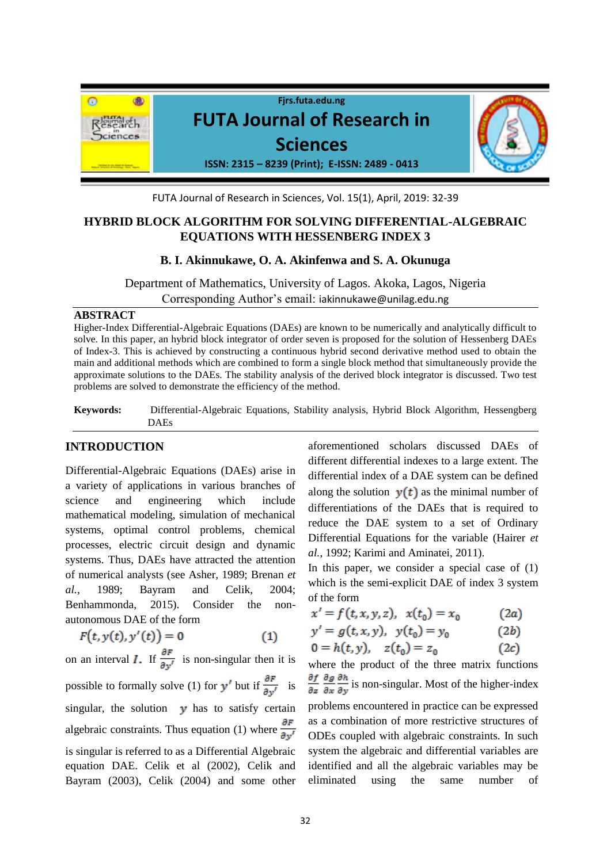

FUTA Journal of Research in Sciences, Vol. 15(1), April, 2019: 32-39

# **HYBRID BLOCK ALGORITHM FOR SOLVING DIFFERENTIAL-ALGEBRAIC EQUATIONS WITH HESSENBERG INDEX 3**

### **B. I. Akinnukawe, O. A. Akinfenwa and S. A. Okunuga**

Department of Mathematics, University of Lagos. Akoka, Lagos, Nigeria Corresponding Author's email: iakinnukawe@unilag.edu.ng

### **ABSTRACT**

Higher-Index Differential-Algebraic Equations (DAEs) are known to be numerically and analytically difficult to solve. In this paper, an hybrid block integrator of order seven is proposed for the solution of Hessenberg DAEs of Index-3. This is achieved by constructing a continuous hybrid second derivative method used to obtain the main and additional methods which are combined to form a single block method that simultaneously provide the approximate solutions to the DAEs. The stability analysis of the derived block integrator is discussed. Two test problems are solved to demonstrate the efficiency of the method.

**Keywords:** Differential-Algebraic Equations, Stability analysis, Hybrid Block Algorithm, Hessengberg DAEs

## **INTRODUCTION**

Differential-Algebraic Equations (DAEs) arise in a variety of applications in various branches of science and engineering which include mathematical modeling, simulation of mechanical systems, optimal control problems, chemical processes, electric circuit design and dynamic systems. Thus, DAEs have attracted the attention of numerical analysts (see Asher, 1989; Brenan *et al.*, 1989; Bayram and Celik, 2004; Benhammonda, 2015). Consider the nonautonomous DAE of the form

$$
F(t, y(t), y'(t)) = 0 \tag{1}
$$

on an interval *I*. If  $\frac{\partial F}{\partial y'}$  is non-singular then it is possible to formally solve (1) for  $y'$  but if  $\frac{\partial F}{\partial y'}$  is singular, the solution  $\boldsymbol{y}$  has to satisfy certain algebraic constraints. Thus equation (1) where  $\frac{\partial F}{\partial v'}$ is singular is referred to as a Differential Algebraic equation DAE. Celik et al (2002), Celik and Bayram (2003), Celik (2004) and some other

aforementioned scholars discussed DAEs of different differential indexes to a large extent. The differential index of a DAE system can be defined along the solution  $y(t)$  as the minimal number of differentiations of the DAEs that is required to reduce the DAE system to a set of Ordinary Differential Equations for the variable (Hairer *et al.*, 1992; Karimi and Aminatei, 2011).

In this paper, we consider a special case of  $(1)$ which is the semi-explicit DAE of index 3 system of the form

$$
x' = f(t, x, y, z), \ \ x(t_0) = x_0 \tag{2a}
$$

$$
y' = g(t, x, y), \ \ y(t_0) = y_0 \tag{2b}
$$

$$
0 = h(t, y), \quad z(t_0) = z_0 \tag{2c}
$$

where the product of the three matrix functions  $\frac{\partial f}{\partial z} \frac{\partial g}{\partial x} \frac{\partial h}{\partial y}$  is non-singular. Most of the higher-index problems encountered in practice can be expressed as a combination of more restrictive structures of ODEs coupled with algebraic constraints. In such system the algebraic and differential variables are identified and all the algebraic variables may be eliminated using the same number of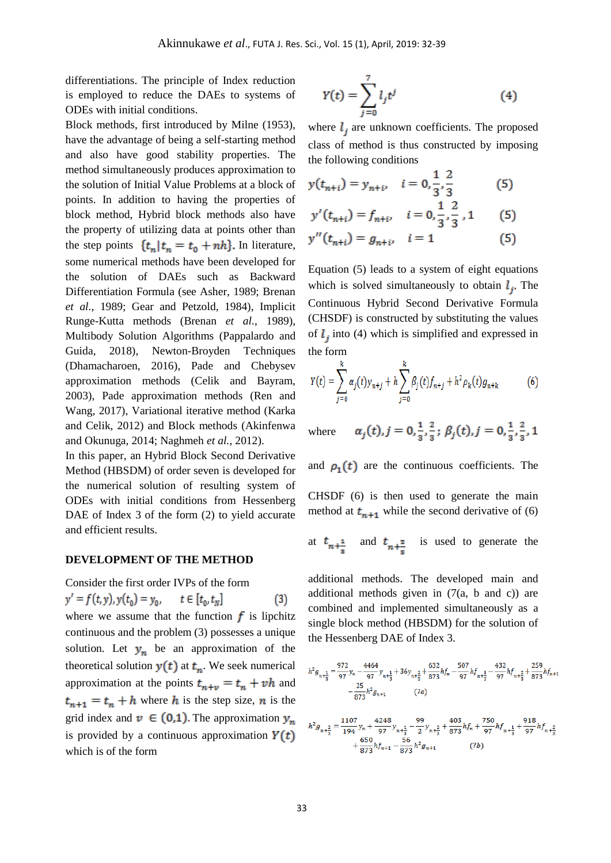differentiations. The principle of Index reduction is employed to reduce the DAEs to systems of ODEs with initial conditions.

Block methods, first introduced by Milne (1953), have the advantage of being a self-starting method and also have good stability properties. The method simultaneously produces approximation to the solution of Initial Value Problems at a block of points. In addition to having the properties of block method, Hybrid block methods also have the property of utilizing data at points other than the step points  $\{t_n | t_n = t_0 + nh\}$ . In literature, some numerical methods have been developed for the solution of DAEs such as Backward Differentiation Formula (see Asher, 1989; Brenan *et al.*, 1989; Gear and Petzold, 1984), Implicit Runge-Kutta methods (Brenan *et al.*, 1989), Multibody Solution Algorithms (Pappalardo and Guida, 2018), Newton-Broyden Techniques (Dhamacharoen, 2016), Pade and Chebysev approximation methods (Celik and Bayram, 2003), Pade approximation methods (Ren and Wang, 2017), Variational iterative method (Karka and Celik, 2012) and Block methods (Akinfenwa and Okunuga, 2014; Naghmeh *et al.*, 2012).

In this paper, an Hybrid Block Second Derivative Method (HBSDM) of order seven is developed for the numerical solution of resulting system of ODEs with initial conditions from Hessenberg DAE of Index 3 of the form (2) to yield accurate and efficient results.

#### **DEVELOPMENT OF THE METHOD**

Consider the first order IVPs of the form  $y' = f(t, y), y(t_0) = y_0, \quad t \in [t_0, t_N]$  $(3)$ where we assume that the function  $f$  is lipchitz continuous and the problem (3) possesses a unique solution. Let  $y_n$  be an approximation of the theoretical solution  $y(t)$  at  $t_n$ . We seek numerical approximation at the points  $t_{n+v} = t_n + vh$  and  $t_{n+1} = t_n + h$  where h is the step size, n is the grid index and  $v \in (0,1)$ . The approximation  $y_n$ is provided by a continuous approximation  $Y(t)$ which is of the form

$$
Y(t) = \sum_{j=0}^{7} l_j t^j
$$
 (4)

where  $l_i$  are unknown coefficients. The proposed class of method is thus constructed by imposing the following conditions

$$
y(t_{n+i}) = y_{n+i}, \quad i = 0, \frac{1}{3}, \frac{2}{3}
$$
 (5)

$$
y'(t_{n+i}) = f_{n+i}, \quad i = 0, \frac{1}{3}, \frac{1}{3}, 1 \qquad (5)
$$
  

$$
y''(t_{n+i}) = g_{n+i}, \quad i = 1 \qquad (5)
$$

Equation (5) leads to a system of eight equations which is solved simultaneously to obtain  $l_i$ . The Continuous Hybrid Second Derivative Formula (CHSDF) is constructed by substituting the values of  $\ell$ , into (4) which is simplified and expressed in the form

$$
Y(t) = \sum_{j=0}^{k} \alpha_j(t) y_{n+j} + h \sum_{j=0}^{k} \beta_j(t) f_{n+j} + h^2 \rho_k(t) g_{n+k}
$$
 (6)

 $\alpha_i(t), j = 0, \frac{1}{2}, \frac{2}{3}; \beta_i(t), j = 0, \frac{1}{2}, \frac{2}{3}, 1$ where

and  $\rho_1(t)$  are the continuous coefficients. The CHSDF (6) is then used to generate the main method at  $t_{n+1}$  while the second derivative of (6)

at 
$$
t_{n+\frac{1}{s}}
$$
 and  $t_{n+\frac{2}{s}}$  is used to generate the

additional methods. The developed main and additional methods given in (7(a, b and c)) are combined and implemented simultaneously as a single block method (HBSDM) for the solution of the Hessenberg DAE of Index 3.

$$
h^2 g_{n+\frac{1}{3}} = \frac{972}{97} y_n - \frac{4464}{97} y_{n+\frac{1}{3}} + 36 y_{n+\frac{2}{3}} + \frac{632}{873} h f_n - \frac{507}{97} h f_{n+\frac{1}{3}} - \frac{432}{97} h f_{n+\frac{2}{3}} + \frac{259}{873} h f_{n+\frac{2}{3}}
$$
  

$$
- \frac{25}{873} h^2 g_{n+1} \qquad (7a)
$$
  

$$
h^2 g_{n+\frac{2}{3}} = \frac{1107}{194} y_n + \frac{4248}{97} y_{n+\frac{1}{3}} - \frac{99}{2} y_{n+\frac{2}{3}} + \frac{403}{873} h f_n + \frac{750}{97} h f_{n+\frac{1}{3}} + \frac{918}{97} h f_{n+\frac{2}{3}}
$$
  

$$
+ \frac{650}{873} h f_{n+1} - \frac{56}{873} h^2 g_{n+1} \qquad (7b)
$$

 $(7b)$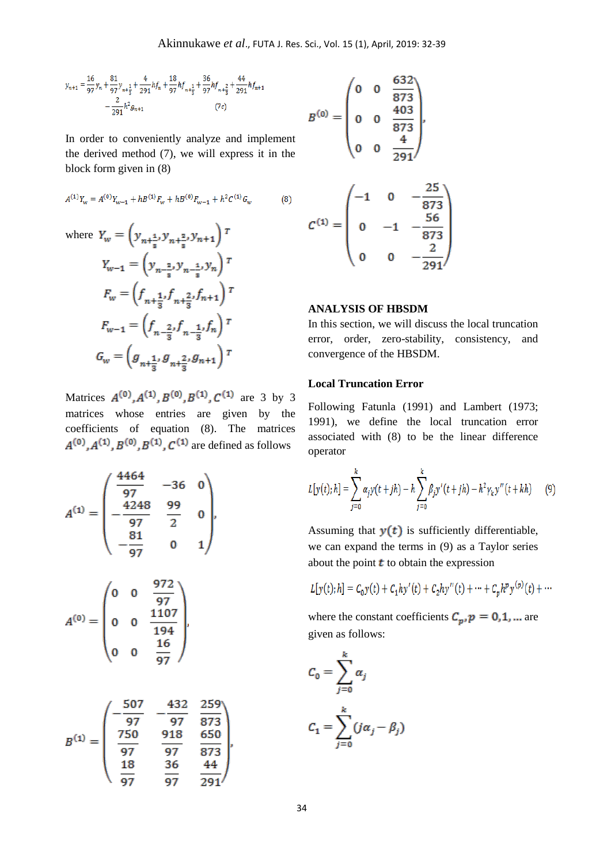$$
\begin{split} y_{n+1}=&\,\frac{16}{97}y_n+\frac{81}{97}y_{n+\frac{1}{3}}+\frac{4}{291}hf_n+\frac{18}{97}hf_{n+\frac{1}{3}}+\frac{36}{97}hf_{n+\frac{2}{3}}+\frac{44}{291}hf_{n+1}\\ &-\frac{2}{291}h^2g_{n+1}\qquad \qquad (7c) \end{split}
$$

In order to conveniently analyze and implement the derived method (7), we will express it in the block form given in (8)

$$
A^{(1)}Y_w = A^{(0)}Y_{w-1} + hB^{(1)}F_w + hB^{(0)}F_{w-1} + h^2C^{(1)}G_w
$$
 (8)

where 
$$
Y_w = \left(y_{n+\frac{1}{s}}, y_{n+\frac{2}{s}}, y_{n+1}\right)^\top
$$
  
\n
$$
Y_{w-1} = \left(y_{n-\frac{2}{s}}, y_{n-\frac{1}{s}}, y_n\right)^\top
$$
\n
$$
F_w = \left(f_{n+\frac{1}{3}}, f_{n+\frac{2}{3}}, f_{n+1}\right)^\top
$$
\n
$$
F_{w-1} = \left(f_{n-\frac{2}{3}}, f_{n-\frac{1}{3}}, f_n\right)^\top
$$
\n
$$
G_w = \left(g_{n+\frac{1}{3}}, g_{n+\frac{2}{3}}, g_{n+1}\right)^\top
$$

Matrices  $A^{(0)}, A^{(1)}, B^{(0)}, B^{(1)}, C^{(1)}$  are 3 by 3 matrices whose entries are given by the coefficients of equation (8). The matrices  $A^{(0)}, A^{(1)}, B^{(0)}, B^{(1)}, C^{(1)}$  are defined as follows

$$
A^{(1)} = \begin{pmatrix} \frac{4464}{97} & -36 & 0 \\ -\frac{4248}{97} & \frac{99}{2} & 0 \\ -\frac{81}{97} & 0 & 1 \end{pmatrix},
$$

$$
A^{(0)} = \begin{pmatrix} 0 & 0 & \frac{972}{97} \\ 0 & 0 & \frac{1107}{194} \\ 0 & 0 & \frac{16}{97} \end{pmatrix},
$$

$$
B^{(1)} = \begin{pmatrix} -\frac{507}{97} & -\frac{432}{97} & \frac{259}{873} \\ \frac{750}{97} & \frac{918}{97} & \frac{650}{873} \\ \frac{18}{97} & \frac{36}{97} & \frac{44}{291} \end{pmatrix},
$$

$$
B^{(0)} = \begin{pmatrix} 0 & 0 & \frac{632}{873} \\ 0 & 0 & \frac{403}{873} \\ 0 & 0 & \frac{4}{291} \end{pmatrix},
$$

$$
C^{(1)} = \begin{pmatrix} -1 & 0 & -\frac{25}{873} \\ 0 & -1 & -\frac{56}{873} \\ 0 & 0 & -\frac{2}{291} \end{pmatrix}
$$

## **ANALYSIS OF HBSDM**

In this section, we will discuss the local truncation error, order, zero-stability, consistency, and convergence of the HBSDM.

### **Local Truncation Error**

Following Fatunla (1991) and Lambert (1973; 1991), we define the local truncation error associated with (8) to be the linear difference operator

$$
L[y(t);h] = \sum_{j=0}^{k} \alpha_j y(t+jh) - h \sum_{j=0}^{k} \beta_j y'(t+jh) - h^2 \gamma_k y''(t+kh)
$$
 (9)

Assuming that  $y(t)$  is sufficiently differentiable, we can expand the terms in (9) as a Taylor series about the point  $t$  to obtain the expression

$$
L[y(t);h] = C_0 y(t) + C_1 hy'(t) + C_2 hy''(t) + \dots + C_p h^p y^{(p)}(t) + \dots
$$

where the constant coefficients  $C_p$ ,  $p = 0, 1, ...$  are given as follows:

$$
C_0 = \sum_{j=0}^{k} \alpha_j
$$

$$
C_1 = \sum_{j=0}^{k} (j\alpha_j - \beta_j)
$$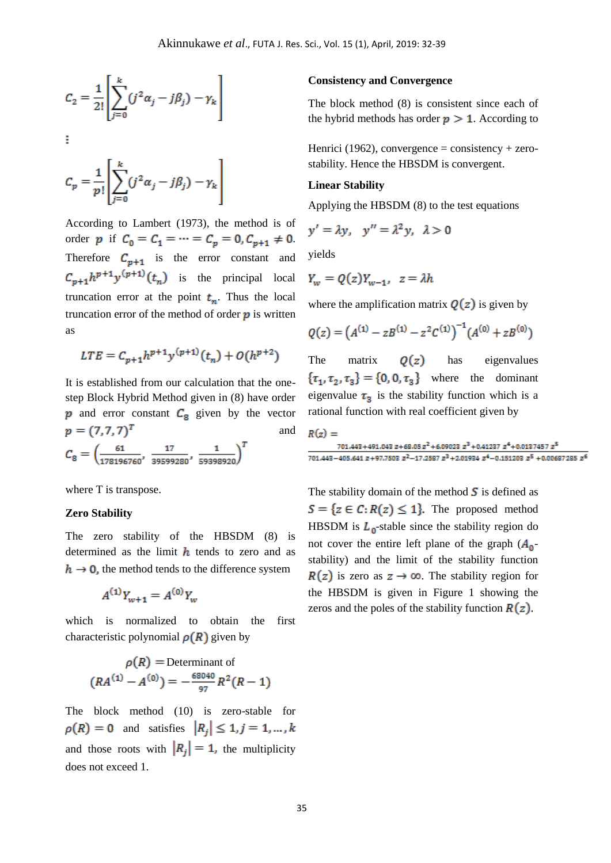$$
C_2 = \frac{1}{2!} \left[ \sum_{j=0}^{k} (j^2 \alpha_j - j \beta_j) - \gamma_k \right]
$$

 $C_p = \frac{1}{p!} \left[ \sum_{j=0}^{k} (j^2 \alpha_j - j \beta_j) - \gamma_k \right]$ 

ŧ

According to Lambert (1973), the method is of order p if  $C_0 = C_1 = \cdots = C_p = 0, C_{p+1} \neq 0$ . Therefore  $C_{p+1}$  is the error constant and  $C_{p+1}h^{p+1}y^{(p+1)}(t_n)$  is the principal local truncation error at the point  $t_n$ . Thus the local truncation error of the method of order  $\boldsymbol{p}$  is written as

$$
LTE = C_{p+1}h^{p+1}y^{(p+1)}(t_n) + O(h^{p+2})
$$

It is established from our calculation that the onestep Block Hybrid Method given in (8) have order  $p$  and error constant  $C_8$  given by the vector  $p = (7, 7, 7)^T$ and  $\mathcal{C}_8 = \begin{pmatrix} \frac{61}{178196760}, & \frac{17}{39599280}, & \frac{1}{59398920} \end{pmatrix}^T$ 

where T is transpose.

#### **Zero Stability**

The zero stability of the HBSDM (8) is determined as the limit  $h$  tends to zero and as  $h \rightarrow 0$ , the method tends to the difference system

$$
A^{(1)}Y_{w+1} = A^{(0)}Y_w
$$

which is normalized to obtain the first characteristic polynomial  $\rho(R)$  given by

$$
\rho(R) = \text{Determinant of}
$$
\n
$$
(RA^{(1)} - A^{(0)}) = -\frac{68040}{97}R^2(R - 1)
$$

The block method (10) is zero-stable for  $\rho(R) = 0$  and satisfies  $|R_i| \leq 1, j = 1, ..., k$ and those roots with  $|R_i| = 1$ , the multiplicity does not exceed 1.

#### **Consistency and Convergence**

The block method (8) is consistent since each of the hybrid methods has order  $p > 1$ . According to

Henrici (1962), convergence = consistency + zerostability. Hence the HBSDM is convergent.

### **Linear Stability**

Applying the HBSDM (8) to the test equations

$$
y' = \lambda y, \quad y'' = \lambda^2 y, \quad \lambda > 0
$$

yields

$$
Y_w = Q(z)Y_{w-1}, \ z = \lambda h
$$

where the amplification matrix  $\mathbf{Q}(z)$  is given by

$$
Q(z) = (A^{(1)} - zB^{(1)} - z^2C^{(1)})^{-1}(A^{(0)} + zB^{(0)})
$$

The matrix  $Q(z)$  has eigenvalues  $\{\tau_1, \tau_2, \tau_3\} = \{0, 0, \tau_3\}$  where the dominant eigenvalue  $\tau_3$  is the stability function which is a rational function with real coefficient given by

$$
R(z) = 701.443 + 491.043 z + 68.05 z2 + 6.09023 z3 + 0.41237 z4 + 0.0137457 z5
$$
  
701.443 - 405.641 z + 97.7503 z<sup>2</sup> - 17.2587 z<sup>3</sup> + 2.01934 z<sup>4</sup> - 0.151203 z<sup>5</sup> + 0.00687285 z<sup>6</sup>

The stability domain of the method  $\boldsymbol{S}$  is defined as  $S = \{z \in C : R(z) \leq 1\}$ . The proposed method HBSDM is  $L_0$ -stable since the stability region do not cover the entire left plane of the graph  $(A_0$ stability) and the limit of the stability function  $R(z)$  is zero as  $z \to \infty$ . The stability region for the HBSDM is given in Figure 1 showing the zeros and the poles of the stability function  $R(z)$ .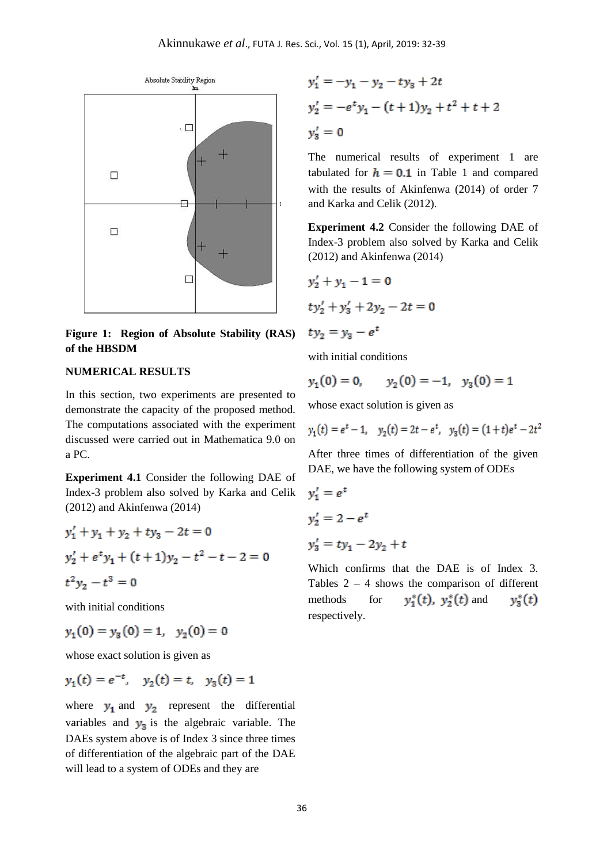

**Figure 1: Region of Absolute Stability (RAS) of the HBSDM** 

#### **NUMERICAL RESULTS**

In this section, two experiments are presented to demonstrate the capacity of the proposed method. The computations associated with the experiment discussed were carried out in Mathematica 9.0 on a PC.

**Experiment 4.1** Consider the following DAE of Index-3 problem also solved by Karka and Celik (2012) and Akinfenwa (2014)

$$
y'_1 + y_1 + y_2 + ty_3 - 2t = 0
$$
  

$$
y'_2 + e^t y_1 + (t+1)y_2 - t^2 - t - 2 = 0
$$
  

$$
t^2 y_2 - t^3 = 0
$$

with initial conditions

$$
y_1(0) = y_3(0) = 1, \quad y_2(0) = 0
$$

whose exact solution is given as

$$
y_1(t) = e^{-t}
$$
,  $y_2(t) = t$ ,  $y_3(t) = 1$ 

where  $y_1$  and  $y_2$  represent the differential variables and  $y_3$  is the algebraic variable. The DAEs system above is of Index 3 since three times of differentiation of the algebraic part of the DAE will lead to a system of ODEs and they are

$$
y'_1 = -y_1 - y_2 - ty_3 + 2t
$$
  
\n
$$
y'_2 = -e^t y_1 - (t+1)y_2 + t^2 + t + 2
$$
  
\n
$$
y'_3 = 0
$$

The numerical results of experiment 1 are tabulated for  $h = 0.1$  in Table 1 and compared with the results of Akinfenwa (2014) of order 7 and Karka and Celik (2012).

**Experiment 4.2** Consider the following DAE of Index-3 problem also solved by Karka and Celik (2012) and Akinfenwa (2014)

$$
y'_2 + y_1 - 1 = 0
$$
  

$$
ty'_2 + y'_3 + 2y_2 - 2t = 0
$$
  

$$
ty_2 = y_3 - e^t
$$

with initial conditions

$$
y_1(0) = 0,
$$
  $y_2(0) = -1,$   $y_3(0) = 1$ 

whose exact solution is given as

$$
y_1(t) = e^t - 1
$$
,  $y_2(t) = 2t - e^t$ ,  $y_3(t) = (1+t)e^t - 2t^2$ 

After three times of differentiation of the given DAE, we have the following system of ODEs

$$
y'_1 = e^t
$$
  
\n
$$
y'_2 = 2 - e^t
$$
  
\n
$$
y'_3 = ty_1 - 2y_2 + t
$$

Which confirms that the DAE is of Index 3. Tables  $2 - 4$  shows the comparison of different methods for  $y_1^*(t)$ ,  $y_2^*(t)$  and  $y_3^*(t)$ respectively.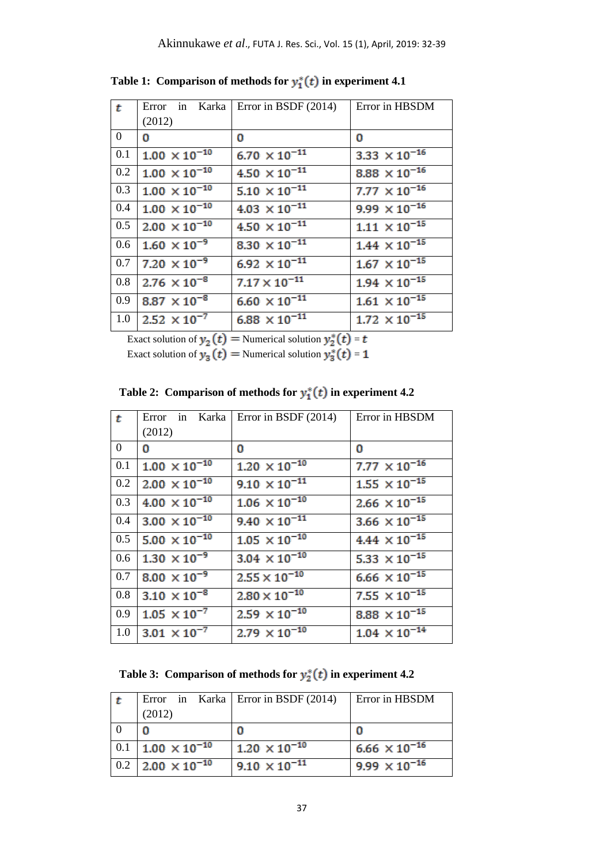| $\mathbf{t}$     | Error in Karka         | Error in BSDF $(2014)$          | Error in HBSDM         |
|------------------|------------------------|---------------------------------|------------------------|
|                  | (2012)                 |                                 |                        |
| $\boldsymbol{0}$ | o                      | 0                               | 0                      |
| 0.1              | $1.00 \times 10^{-10}$ | $6.70 \times 10^{-11}$          | 3.33 $\times 10^{-16}$ |
| 0.2              | $1.00 \times 10^{-10}$ | $4.50 \times 10^{-11}$          | $8.88 \times 10^{-16}$ |
| 0.3              | $1.00 \times 10^{-10}$ | $5.10 \times 10^{-11}$          | $7.77 \times 10^{-16}$ |
| 0.4              | $1.00 \times 10^{-10}$ | $4.03 \times 10^{-11}$          | $9.99 \times 10^{-16}$ |
| 0.5              | $2.00 \times 10^{-10}$ | $4.50 \times 10^{-11}$          | $1.11 \times 10^{-15}$ |
| 0.6              | $1.60 \times 10^{-9}$  | 8.30 $\times 10^{-11}$          | $1.44 \times 10^{-15}$ |
| 0.7              | $7.20 \times 10^{-9}$  | 6.92 $\times$ 10 <sup>-11</sup> | $1.67 \times 10^{-15}$ |
| 0.8              | $2.76 \times 10^{-8}$  | $7.17 \times 10^{-11}$          | $1.94 \times 10^{-15}$ |
| 0.9              | $8.87 \times 10^{-8}$  | 6.60 $\times$ 10 <sup>-11</sup> | $1.61 \times 10^{-15}$ |
| 1.0              | $2.52 \times 10^{-7}$  | 6.88 $\times$ 10 <sup>-11</sup> | $1.72 \times 10^{-15}$ |
|                  |                        |                                 |                        |

Table 1: Comparison of methods for  $y_1^*(t)$  in experiment 4.1

Exact solution of  $y_2(t)$  = Numerical solution  $y_2^*(t)$  =

Exact solution of  $y_2(t)$  = Numerical solution  $y_3^*(t)$  =

| Table 2: Comparison of methods for $y_1^*(t)$ in experiment 4.2 |  |  |  |  |
|-----------------------------------------------------------------|--|--|--|--|
|-----------------------------------------------------------------|--|--|--|--|

| t              | Error in Karka         | Error in BSDF $(2014)$ | Error in HBSDM                  |
|----------------|------------------------|------------------------|---------------------------------|
|                | (2012)                 |                        |                                 |
| $\overline{0}$ | o                      | 0                      | 0                               |
| 0.1            | $1.00 \times 10^{-10}$ | $1.20 \times 10^{-10}$ | $7.77 \times 10^{-16}$          |
| 0.2            | $2.00 \times 10^{-10}$ | $9.10 \times 10^{-11}$ | $1.55 \times 10^{-15}$          |
| 0.3            | $4.00 \times 10^{-10}$ | $1.06 \times 10^{-10}$ | $2.66 \times 10^{-15}$          |
| 0.4            | $3.00 \times 10^{-10}$ | $9.40 \times 10^{-11}$ | $3.66 \times 10^{-15}$          |
| 0.5            | $5.00 \times 10^{-10}$ | $1.05 \times 10^{-10}$ | $4.44 \times 10^{-15}$          |
| 0.6            | $1.30 \times 10^{-9}$  | $3.04 \times 10^{-10}$ | 5.33 $\times$ 10 <sup>-15</sup> |
| 0.7            | $8.00 \times 10^{-9}$  | $2.55 \times 10^{-10}$ | $6.66 \times 10^{-15}$          |
| 0.8            | $3.10 \times 10^{-8}$  | $2.80 \times 10^{-10}$ | 7.55 $\times$ 10 <sup>-15</sup> |
| 0.9            | $1.05 \times 10^{-7}$  | $2.59 \times 10^{-10}$ | $8.88 \times 10^{-15}$          |
| 1.0            | $3.01 \times 10^{-7}$  | $2.79 \times 10^{-10}$ | $1.04 \times 10^{-14}$          |

 **Table 3: Comparison of methods for**  $y_2^*(t)$  **in experiment 4.2** 

|     | (2012)                 | Error in Karka   Error in BSDF $(2014)$ | Error in HBSDM                  |
|-----|------------------------|-----------------------------------------|---------------------------------|
|     |                        | 0                                       | C                               |
| 0.1 | $1.00 \times 10^{-10}$ | $1.20 \times 10^{-10}$                  | 6.66 $\times$ 10 <sup>-16</sup> |
| 0.2 | $2.00 \times 10^{-10}$ | $9.10 \times 10^{-11}$                  | $9.99 \times 10^{-16}$          |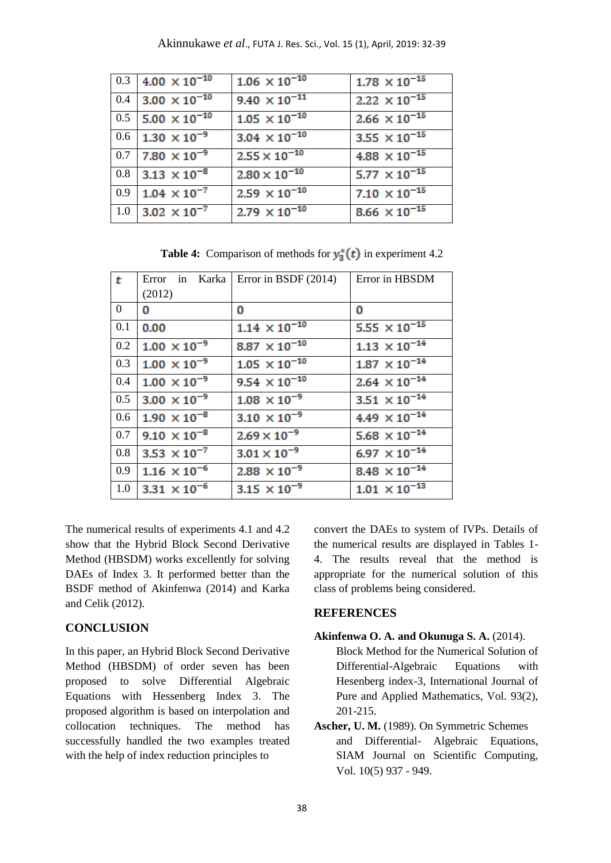|     | 0.3 4.00 $\times$ 10 <sup>-10</sup>   | $1.06 \times 10^{-10}$ | $1.78 \times 10^{-15}$ |
|-----|---------------------------------------|------------------------|------------------------|
|     | $0.4$ 3.00 $\times$ 10 <sup>-10</sup> | $9.40 \times 10^{-11}$ | $2.22 \times 10^{-15}$ |
|     | $0.5$ 5.00 $\times$ 10 <sup>-10</sup> | $1.05 \times 10^{-10}$ | $2.66 \times 10^{-15}$ |
|     | $0.6$ 1.30 $\times 10^{-9}$           | $3.04 \times 10^{-10}$ | $3.55 \times 10^{-15}$ |
|     | $0.7$ 7.80 $\times 10^{-9}$           | $2.55 \times 10^{-10}$ | $4.88 \times 10^{-15}$ |
|     | $0.8$ 3.13 $\times 10^{-8}$           | $2.80 \times 10^{-10}$ | $5.77 \times 10^{-15}$ |
| 0.9 | $1.04 \times 10^{-7}$                 | $2.59 \times 10^{-10}$ | $7.10 \times 10^{-15}$ |
| 1.0 | $3.02 \times 10^{-7}$                 | $2.79 \times 10^{-10}$ | $8.66 \times 10^{-15}$ |

**Table 4:** Comparison of methods for  $y_3^*(t)$  in experiment 4.2

| $\mathbf{t}$   | Error in Karka        | Error in BSDF (2014)   | Error in HBSDM                  |
|----------------|-----------------------|------------------------|---------------------------------|
|                | (2012)                |                        |                                 |
| $\overline{0}$ | 0                     | 0                      | $\Omega$                        |
| 0.1            | 0.00                  | $1.14 \times 10^{-10}$ | 5.55 $\times$ 10 <sup>-15</sup> |
| 0.2            | $1.00 \times 10^{-9}$ | 8.87 $\times 10^{-10}$ | $1.13 \times 10^{-14}$          |
| 0.3            | $1.00 \times 10^{-9}$ | $1.05 \times 10^{-10}$ | $1.87 \times 10^{-14}$          |
| 0.4            | $1.00 \times 10^{-9}$ | $9.54 \times 10^{-10}$ | $2.64 \times 10^{-14}$          |
| 0.5            | $3.00 \times 10^{-9}$ | $1.08 \times 10^{-9}$  | $3.51 \times 10^{-14}$          |
| 0.6            | $1.90 \times 10^{-8}$ | $3.10 \times 10^{-9}$  | $4.49 \times 10^{-14}$          |
| 0.7            | $9.10 \times 10^{-8}$ | $2.69 \times 10^{-9}$  | $5.68 \times 10^{-14}$          |
| 0.8            | $3.53 \times 10^{-7}$ | $3.01 \times 10^{-9}$  | 6.97 $\times 10^{-14}$          |
| 0.9            | $1.16 \times 10^{-6}$ | $2.88 \times 10^{-9}$  | $8.48 \times 10^{-14}$          |
| 1.0            | $3.31 \times 10^{-6}$ | $3.15 \times 10^{-9}$  | $1.01 \times 10^{-13}$          |

The numerical results of experiments 4.1 and 4.2 show that the Hybrid Block Second Derivative Method (HBSDM) works excellently for solving DAEs of Index 3. It performed better than the BSDF method of Akinfenwa (2014) and Karka and Celik (2012).

### **CONCLUSION**

In this paper, an Hybrid Block Second Derivative Method (HBSDM) of order seven has been proposed to solve Differential Algebraic Equations with Hessenberg Index 3. The proposed algorithm is based on interpolation and collocation techniques. The method has successfully handled the two examples treated with the help of index reduction principles to

convert the DAEs to system of IVPs. Details of the numerical results are displayed in Tables 1- 4. The results reveal that the method is appropriate for the numerical solution of this class of problems being considered.

## **REFERENCES**

# **Akinfenwa O. A. and Okunuga S. A.** (2014).

- Block Method for the Numerical Solution of Differential-Algebraic Equations with Hesenberg index-3, International Journal of Pure and Applied Mathematics, Vol. 93(2), 201-215.
- **Ascher, U. M.** (1989). On Symmetric Schemes and Differential- Algebraic Equations, SIAM Journal on Scientific Computing, Vol. 10(5) 937 - 949.